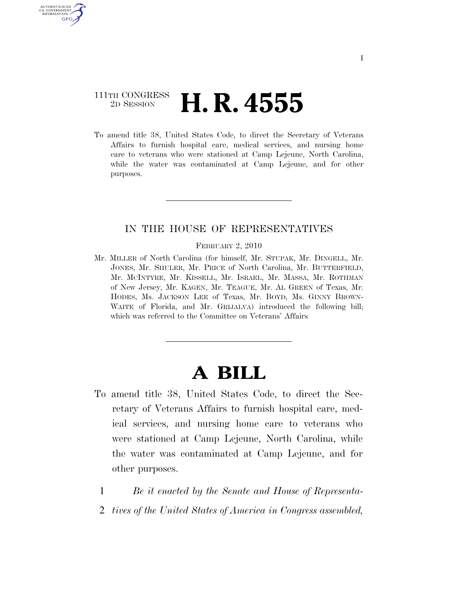## 111TH CONGRESS <sup>2D SESSION</sup> **H. R. 4555**

U.S. GOVERNMENT **GPO** 

> To amend title 38, United States Code, to direct the Secretary of Veterans Affairs to furnish hospital care, medical services, and nursing home care to veterans who were stationed at Camp Lejeune, North Carolina, while the water was contaminated at Camp Lejeune, and for other purposes.

## IN THE HOUSE OF REPRESENTATIVES

FEBRUARY 2, 2010

Mr. MILLER of North Carolina (for himself, Mr. STUPAK, Mr. DINGELL, Mr. JONES, Mr. SHULER, Mr. PRICE of North Carolina, Mr. BUTTERFIELD, Mr. MCINTYRE, Mr. KISSELL, Mr. ISRAEL, Mr. MASSA, Mr. ROTHMAN of New Jersey, Mr. KAGEN, Mr. TEAGUE, Mr. AL GREEN of Texas, Mr. HODES, Ms. JACKSON LEE of Texas, Mr. BOYD, Ms. GINNY BROWN-WAITE of Florida, and Mr. GRIJALVA) introduced the following bill; which was referred to the Committee on Veterans' Affairs

## **A BILL**

- To amend title 38, United States Code, to direct the Secretary of Veterans Affairs to furnish hospital care, medical services, and nursing home care to veterans who were stationed at Camp Lejeune, North Carolina, while the water was contaminated at Camp Lejeune, and for other purposes.
	- 1 *Be it enacted by the Senate and House of Representa-*
	- 2 *tives of the United States of America in Congress assembled,*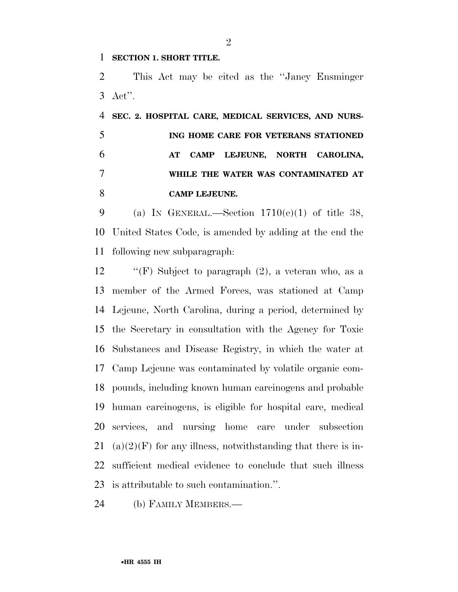**SECTION 1. SHORT TITLE.** 

 This Act may be cited as the ''Janey Ensminger Act''.

 **SEC. 2. HOSPITAL CARE, MEDICAL SERVICES, AND NURS- ING HOME CARE FOR VETERANS STATIONED AT CAMP LEJEUNE, NORTH CAROLINA, WHILE THE WATER WAS CONTAMINATED AT CAMP LEJEUNE.** 

9 (a) IN GENERAL.—Section  $1710(e)(1)$  of title 38, United States Code, is amended by adding at the end the following new subparagraph:

 $\langle f$  ''(F) Subject to paragraph (2), a veteran who, as a member of the Armed Forces, was stationed at Camp Lejeune, North Carolina, during a period, determined by the Secretary in consultation with the Agency for Toxic Substances and Disease Registry, in which the water at Camp Lejeune was contaminated by volatile organic com- pounds, including known human carcinogens and probable human carcinogens, is eligible for hospital care, medical services, and nursing home care under subsection 21 (a)(2)(F) for any illness, notwithstanding that there is in- sufficient medical evidence to conclude that such illness is attributable to such contamination.''.

(b) FAMILY MEMBERS.—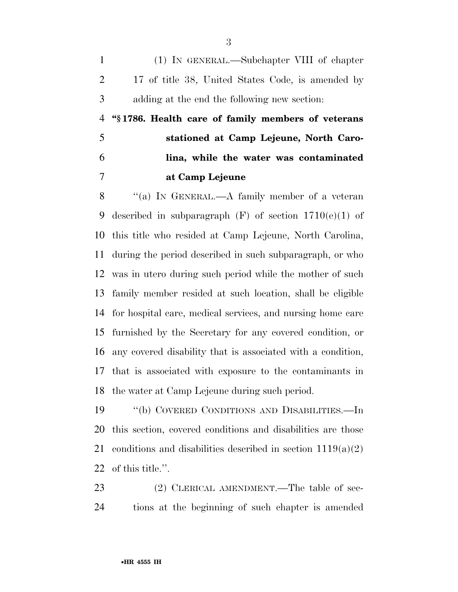(1) IN GENERAL.—Subchapter VIII of chapter 17 of title 38, United States Code, is amended by adding at the end the following new section:

 **''§ 1786. Health care of family members of veterans stationed at Camp Lejeune, North Caro- lina, while the water was contaminated at Camp Lejeune** 

8 "(a) IN GENERAL.—A family member of a veteran 9 described in subparagraph  $(F)$  of section  $1710(e)(1)$  of this title who resided at Camp Lejeune, North Carolina, during the period described in such subparagraph, or who was in utero during such period while the mother of such family member resided at such location, shall be eligible for hospital care, medical services, and nursing home care furnished by the Secretary for any covered condition, or any covered disability that is associated with a condition, that is associated with exposure to the contaminants in the water at Camp Lejeune during such period.

 ''(b) COVERED CONDITIONS AND DISABILITIES.—In this section, covered conditions and disabilities are those 21 conditions and disabilities described in section  $1119(a)(2)$ of this title.''.

23 (2) CLERICAL AMENDMENT.—The table of sec-tions at the beginning of such chapter is amended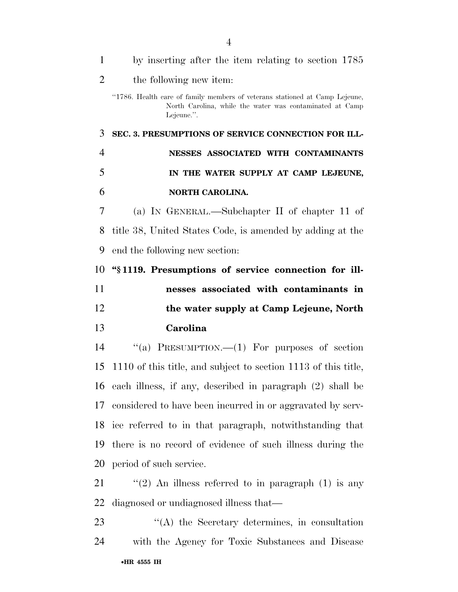| $\mathbf{1}$   | by inserting after the item relating to section 1785                                                                                                  |
|----------------|-------------------------------------------------------------------------------------------------------------------------------------------------------|
| $\overline{2}$ | the following new item:                                                                                                                               |
|                | "1786. Health care of family members of veterans stationed at Camp Lejeune,<br>North Carolina, while the water was contaminated at Camp<br>Lejeune.". |
| 3              | SEC. 3. PRESUMPTIONS OF SERVICE CONNECTION FOR ILL-                                                                                                   |
| $\overline{4}$ | NESSES ASSOCIATED WITH CONTAMINANTS                                                                                                                   |
| 5              | IN THE WATER SUPPLY AT CAMP LEJEUNE,                                                                                                                  |
| 6              | NORTH CAROLINA.                                                                                                                                       |
| 7              | (a) IN GENERAL.—Subchapter II of chapter 11 of                                                                                                        |
| 8              | title 38, United States Code, is amended by adding at the                                                                                             |
| 9              | end the following new section:                                                                                                                        |
| 10             | "\\$1119. Presumptions of service connection for ill-                                                                                                 |
| 11             | nesses associated with contaminants in                                                                                                                |
| 12             | the water supply at Camp Lejeune, North                                                                                                               |
|                |                                                                                                                                                       |
| 13             | Carolina                                                                                                                                              |
| 14             | "(a) PRESUMPTION.— $(1)$ For purposes of section                                                                                                      |
| 15             | 1110 of this title, and subject to section 1113 of this title,                                                                                        |
|                | 16 each illness, if any, described in paragraph (2) shall be                                                                                          |
|                | 17 considered to have been incurred in or aggravated by serv-                                                                                         |
| 18             | ice referred to in that paragraph, notwithstanding that                                                                                               |
| 19             | there is no record of evidence of such illness during the                                                                                             |
| 20             | period of such service.                                                                                                                               |
| 21             | "(2) An illness referred to in paragraph $(1)$ is any                                                                                                 |
| 22             | diagnosed or undiagnosed illness that—                                                                                                                |
| 23             | "(A) the Secretary determines, in consultation                                                                                                        |
| 24             | with the Agency for Toxic Substances and Disease                                                                                                      |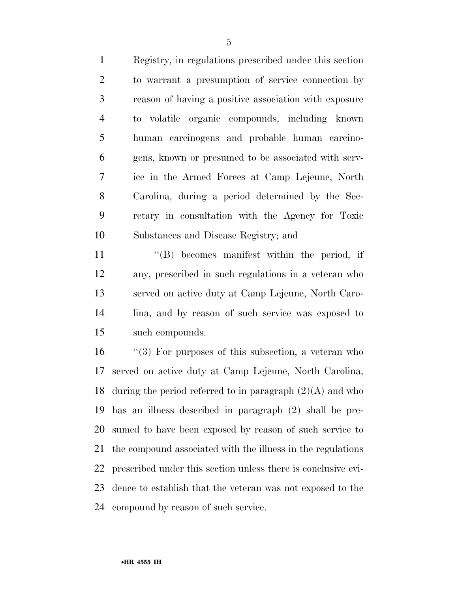Registry, in regulations prescribed under this section to warrant a presumption of service connection by reason of having a positive association with exposure to volatile organic compounds, including known human carcinogens and probable human carcino- gens, known or presumed to be associated with serv- ice in the Armed Forces at Camp Lejeune, North Carolina, during a period determined by the Sec- retary in consultation with the Agency for Toxic Substances and Disease Registry; and

 $\langle G \rangle$  becomes manifest within the period, if any, prescribed in such regulations in a veteran who served on active duty at Camp Lejeune, North Caro- lina, and by reason of such service was exposed to such compounds.

 ''(3) For purposes of this subsection, a veteran who served on active duty at Camp Lejeune, North Carolina, 18 during the period referred to in paragraph  $(2)(A)$  and who has an illness described in paragraph (2) shall be pre- sumed to have been exposed by reason of such service to the compound associated with the illness in the regulations prescribed under this section unless there is conclusive evi- dence to establish that the veteran was not exposed to the compound by reason of such service.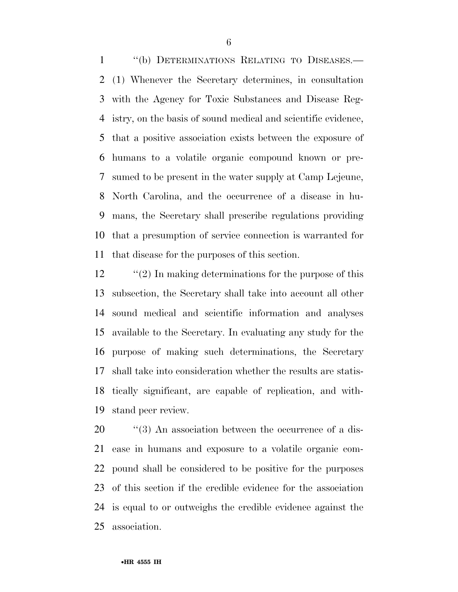''(b) DETERMINATIONS RELATING TO DISEASES.— (1) Whenever the Secretary determines, in consultation with the Agency for Toxic Substances and Disease Reg- istry, on the basis of sound medical and scientific evidence, that a positive association exists between the exposure of humans to a volatile organic compound known or pre- sumed to be present in the water supply at Camp Lejeune, North Carolina, and the occurrence of a disease in hu- mans, the Secretary shall prescribe regulations providing that a presumption of service connection is warranted for that disease for the purposes of this section.

12 ''(2) In making determinations for the purpose of this subsection, the Secretary shall take into account all other sound medical and scientific information and analyses available to the Secretary. In evaluating any study for the purpose of making such determinations, the Secretary shall take into consideration whether the results are statis- tically significant, are capable of replication, and with-stand peer review.

 $\frac{1}{20}$  (3) An association between the occurrence of a dis- ease in humans and exposure to a volatile organic com- pound shall be considered to be positive for the purposes of this section if the credible evidence for the association is equal to or outweighs the credible evidence against the association.